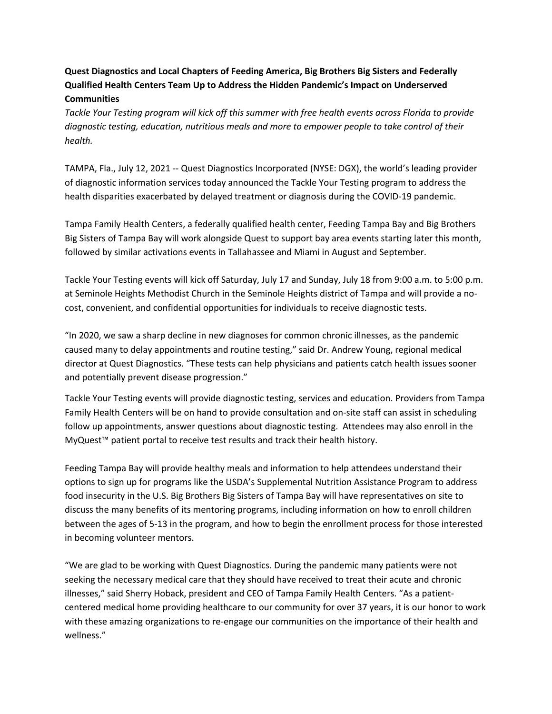## **Quest Diagnostics and Local Chapters of Feeding America, Big Brothers Big Sisters and Federally Qualified Health Centers Team Up to Address the Hidden Pandemic's Impact on Underserved Communities**

*Tackle Your Testing program will kick off this summer with free health events across Florida to provide diagnostic testing, education, nutritious meals and more to empower people to take control of their health.* 

TAMPA, Fla., July 12, 2021 -- Quest Diagnostics Incorporated (NYSE: DGX), the world's leading provider of diagnostic information services today announced the Tackle Your Testing program to address the health disparities exacerbated by delayed treatment or diagnosis during the COVID-19 pandemic.

Tampa Family Health Centers, a federally qualified health center, Feeding Tampa Bay and Big Brothers Big Sisters of Tampa Bay will work alongside Quest to support bay area events starting later this month, followed by similar activations events in Tallahassee and Miami in August and September.

Tackle Your Testing events will kick off Saturday, July 17 and Sunday, July 18 from 9:00 a.m. to 5:00 p.m. at Seminole Heights Methodist Church in the Seminole Heights district of Tampa and will provide a nocost, convenient, and confidential opportunities for individuals to receive diagnostic tests.

"In 2020, we saw a sharp decline in new diagnoses for common chronic illnesses, as the pandemic caused many to delay appointments and routine testing," said Dr. Andrew Young, regional medical director at Quest Diagnostics. "These tests can help physicians and patients catch health issues sooner and potentially prevent disease progression."

Tackle Your Testing events will provide diagnostic testing, services and education. Providers from Tampa Family Health Centers will be on hand to provide consultation and on-site staff can assist in scheduling follow up appointments, answer questions about diagnostic testing. Attendees may also enroll in the MyQuest™ patient portal to receive test results and track their health history.

Feeding Tampa Bay will provide healthy meals and information to help attendees understand their options to sign up for programs like the USDA's Supplemental Nutrition Assistance Program to address food insecurity in the U.S. Big Brothers Big Sisters of Tampa Bay will have representatives on site to discuss the many benefits of its mentoring programs, including information on how to enroll children between the ages of 5-13 in the program, and how to begin the enrollment process for those interested in becoming volunteer mentors.

"We are glad to be working with Quest Diagnostics. During the pandemic many patients were not seeking the necessary medical care that they should have received to treat their acute and chronic illnesses," said Sherry Hoback, president and CEO of Tampa Family Health Centers. "As a patientcentered medical home providing healthcare to our community for over 37 years, it is our honor to work with these amazing organizations to re-engage our communities on the importance of their health and wellness."